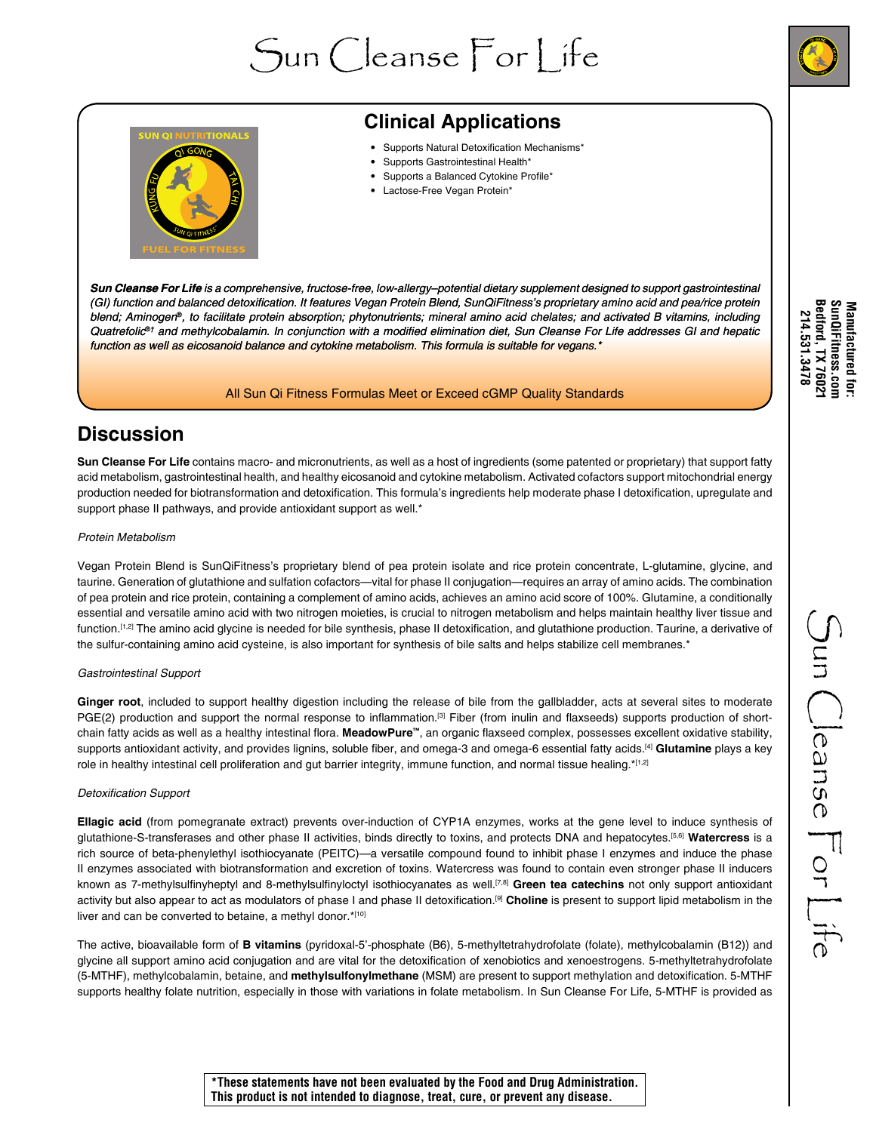





# **Clinical Applications**

- Supports Natural Detoxification Mechanisms\*
- Supports Gastrointestinal Health\*
- Supports a Balanced Cytokine Profile\*
- Lactose-Free Vegan Protein\*

*Sun Cleanse For Life is a comprehensive, fructose-free, low-allergy–potential dietary supplement designed to support gastrointestinal*  (GI) function and balanced detoxification. It features Vegan Protein Blend, SunQiFitness's proprietary amino acid and pea/rice protein *blend; Aminogen*®, to facilitate protein absorption; phytonutrients; mineral amino acid chelates; and activated B vitamins, including Quatrefolic<sup>®†</sup> and methylcobalamin. In conjunction with a modified elimination diet, Sun Cleanse For Life addresses GI and hepatic function as well as eicosanoid balance and cytokine metabolism. This formula is suitable for vegans.\*

### All Sun Qi Fitness Formulas Meet or Exceed cGMP Quality Standards

### **Discussion**

**Sun Cleanse For Life** contains macro- and micronutrients, as well as a host of ingredients (some patented or proprietary) that support fatty acid metabolism, gastrointestinal health, and healthy eicosanoid and cytokine metabolism. Activated cofactors support mitochondrial energy production needed for biotransformation and detoxification. This formula's ingredients help moderate phase I detoxification, upregulate and support phase II pathways, and provide antioxidant support as well.<sup>\*</sup>

#### Protein Metabolism

Vegan Protein Blend is SunQiFitness's proprietary blend of pea protein isolate and rice protein concentrate, L-glutamine, glycine, and taurine. Generation of glutathione and sulfation cofactors—vital for phase II conjugation—requires an array of amino acids. The combination of pea protein and rice protein, containing a complement of amino acids, achieves an amino acid score of 100%. Glutamine, a conditionally essential and versatile amino acid with two nitrogen moieties, is crucial to nitrogen metabolism and helps maintain healthy liver tissue and function.<sup>[1,2]</sup> The amino acid glycine is needed for bile synthesis, phase II detoxification, and glutathione production. Taurine, a derivative of the sulfur-containing amino acid cysteine, is also important for synthesis of bile salts and helps stabilize cell membranes.\*

#### Gastrointestinal Support

**Ginger root**, included to support healthy digestion including the release of bile from the gallbladder, acts at several sites to moderate PGE(2) production and support the normal response to inflammation.<sup>[3]</sup> Fiber (from inulin and flaxseeds) supports production of shortchain fatty acids as well as a healthy intestinal flora. **MeadowPure™**, an organic flaxseed complex, possesses excellent oxidative stability, supports antioxidant activity, and provides lignins, soluble fiber, and omega-3 and omega-6 essential fatty acids.[4] **Glutamine** plays a key role in healthy intestinal cell proliferation and gut barrier integrity, immune function, and normal tissue healing.\*[1,2]

### Detoxification Support

**Ellagic acid** (from pomegranate extract) prevents over-induction of CYP1A enzymes, works at the gene level to induce synthesis of glutathione-S-transferases and other phase II activities, binds directly to toxins, and protects DNA and hepatocytes.[5,6] **Watercress** is a rich source of beta-phenylethyl isothiocyanate (PEITC)—a versatile compound found to inhibit phase I enzymes and induce the phase II enzymes associated with biotransformation and excretion of toxins. Watercress was found to contain even stronger phase II inducers known as 7-methylsulfinyheptyl and 8-methylsulfinyloctyl isothiocyanates as well.[7,8] **Green tea catechins** not only support antioxidant activity but also appear to act as modulators of phase I and phase II detoxification.[9] **Choline** is present to support lipid metabolism in the liver and can be converted to betaine, a methyl donor.\*[10]

The active, bioavailable form of **B vitamins** (pyridoxal-5'-phosphate (B6), 5-methyltetrahydrofolate (folate), methylcobalamin (B12)) and glycine all support amino acid conjugation and are vital for the detoxification of xenobiotics and xenoestrogens. 5-methyltetrahydrofolate (5-MTHF), methylcobalamin, betaine, and **methylsulfonylmethane** (MSM) are present to support methylation and detoxification. 5-MTHF supports healthy folate nutrition, especially in those with variations in folate metabolism. In Sun Cleanse For Life, 5-MTHF is provided as Manufactured for:<br>SunQiFitness.com<br>Bedford, TX 76021<br>214.531.3478 **Bedford, TX 76021 SunQiFitness.com Manufactured for: 214.531.3478** 

**\*These statements have not been evaluated by the Food and Drug Administration. This product is not intended to diagnose, treat, cure, or prevent any disease.**